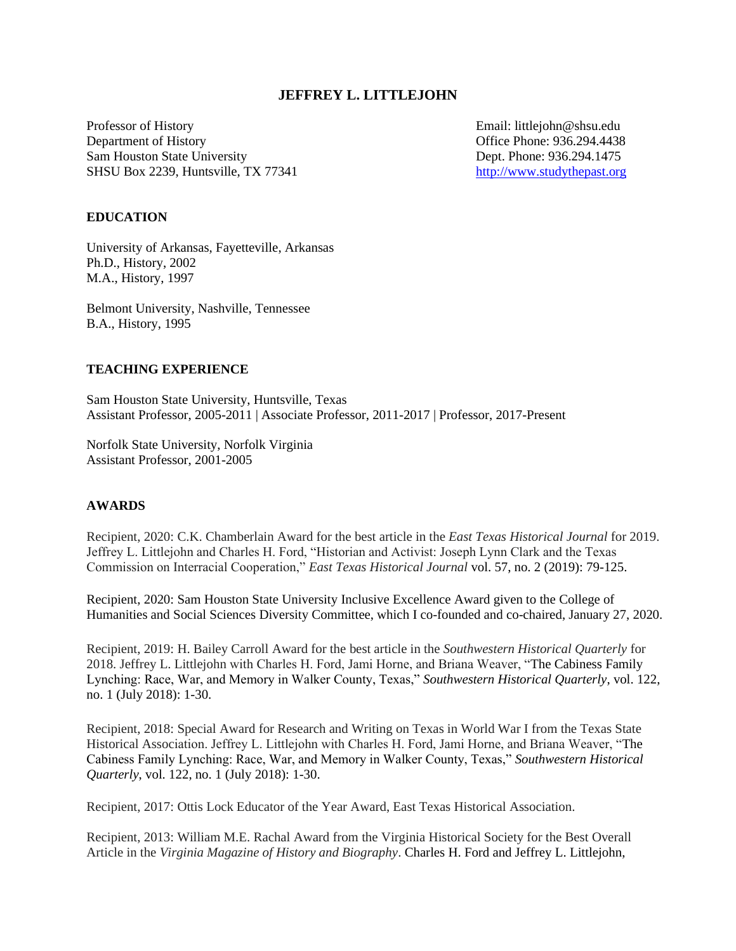## **JEFFREY L. LITTLEJOHN**

Professor of History **Email:** littlejohn@shsu.edu Department of History Office Phone: 936.294.4438 Sam Houston State University Dept. Phone: 936.294.1475 SHSU Box 2239, Huntsville, TX 77341 [http://www.studythepast.org](http://www.studythepast.org/)

### **EDUCATION**

University of Arkansas, Fayetteville, Arkansas Ph.D., History, 2002 M.A., History, 1997

Belmont University, Nashville, Tennessee B.A., History, 1995

## **TEACHING EXPERIENCE**

Sam Houston State University, Huntsville, Texas Assistant Professor, 2005-2011 | Associate Professor, 2011-2017 | Professor, 2017-Present

Norfolk State University, Norfolk Virginia Assistant Professor, 2001-2005

#### **AWARDS**

Recipient, 2020: C.K. Chamberlain Award for the best article in the *East Texas Historical Journal* for 2019. Jeffrey L. Littlejohn and Charles H. Ford, "Historian and Activist: Joseph Lynn Clark and the Texas Commission on Interracial Cooperation," *East Texas Historical Journal* vol. 57, no. 2 (2019): 79-125.

Recipient, 2020: Sam Houston State University Inclusive Excellence Award given to the College of Humanities and Social Sciences Diversity Committee, which I co-founded and co-chaired, January 27, 2020.

Recipient, 2019: H. Bailey Carroll Award for the best article in the *Southwestern Historical Quarterly* for 2018. Jeffrey L. Littlejohn with Charles H. Ford, Jami Horne, and Briana Weaver, "The Cabiness Family Lynching: Race, War, and Memory in Walker County, Texas," *Southwestern Historical Quarterly*, vol. 122, no. 1 (July 2018): 1-30.

Recipient, 2018: Special Award for Research and Writing on Texas in World War I from the Texas State Historical Association. Jeffrey L. Littlejohn with Charles H. Ford, Jami Horne, and Briana Weaver, "The Cabiness Family Lynching: Race, War, and Memory in Walker County, Texas," *Southwestern Historical Quarterly*, vol. 122, no. 1 (July 2018): 1-30.

Recipient, 2017: Ottis Lock Educator of the Year Award, East Texas Historical Association.

Recipient, 2013: William M.E. Rachal Award from the Virginia Historical Society for the Best Overall Article in the *Virginia Magazine of History and Biography*. Charles H. Ford and Jeffrey L. Littlejohn,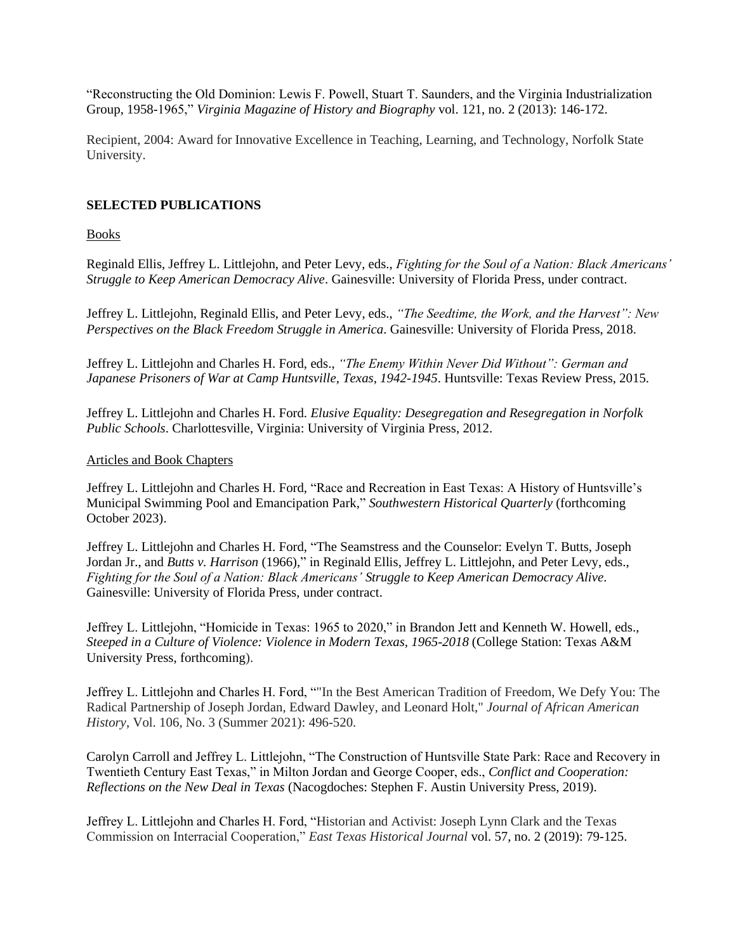"Reconstructing the Old Dominion: Lewis F. Powell, Stuart T. Saunders, and the Virginia Industrialization Group, 1958-1965," *Virginia Magazine of History and Biography* vol. 121, no. 2 (2013): 146-172.

Recipient, 2004: Award for Innovative Excellence in Teaching, Learning, and Technology, Norfolk State University.

## **SELECTED PUBLICATIONS**

Books

Reginald Ellis, Jeffrey L. Littlejohn, and Peter Levy, eds., *Fighting for the Soul of a Nation: Black Americans' Struggle to Keep American Democracy Alive*. Gainesville: University of Florida Press, under contract.

Jeffrey L. Littlejohn, Reginald Ellis, and Peter Levy, eds., *"The Seedtime, the Work, and the Harvest": New Perspectives on the Black Freedom Struggle in America*. Gainesville: University of Florida Press, 2018.

Jeffrey L. Littlejohn and Charles H. Ford, eds., *"The Enemy Within Never Did Without": German and Japanese Prisoners of War at Camp Huntsville, Texas, 1942-1945*. Huntsville: Texas Review Press, 2015.

Jeffrey L. Littlejohn and Charles H. Ford. *Elusive Equality: Desegregation and Resegregation in Norfolk Public Schools*. Charlottesville, Virginia: University of Virginia Press, 2012.

#### Articles and Book Chapters

Jeffrey L. Littlejohn and Charles H. Ford, "Race and Recreation in East Texas: A History of Huntsville's Municipal Swimming Pool and Emancipation Park," *Southwestern Historical Quarterly* (forthcoming October 2023).

Jeffrey L. Littlejohn and Charles H. Ford, "The Seamstress and the Counselor: Evelyn T. Butts, Joseph Jordan Jr., and *Butts v. Harrison* (1966)," in Reginald Ellis, Jeffrey L. Littlejohn, and Peter Levy, eds., *Fighting for the Soul of a Nation: Black Americans' Struggle to Keep American Democracy Alive*. Gainesville: University of Florida Press, under contract.

Jeffrey L. Littlejohn, "Homicide in Texas: 1965 to 2020," in Brandon Jett and Kenneth W. Howell, eds., *Steeped in a Culture of Violence: Violence in Modern Texas, 1965-2018* (College Station: Texas A&M University Press, forthcoming).

Jeffrey L. Littlejohn and Charles H. Ford, ""In the Best American Tradition of Freedom, We Defy You: The Radical Partnership of Joseph Jordan, Edward Dawley, and Leonard Holt," *Journal of African American History*, Vol. 106, No. 3 (Summer 2021): 496-520.

Carolyn Carroll and Jeffrey L. Littlejohn, "The Construction of Huntsville State Park: Race and Recovery in Twentieth Century East Texas," in Milton Jordan and George Cooper, eds., *Conflict and Cooperation: Reflections on the New Deal in Texas* (Nacogdoches: Stephen F. Austin University Press, 2019).

Jeffrey L. Littlejohn and Charles H. Ford, "Historian and Activist: Joseph Lynn Clark and the Texas Commission on Interracial Cooperation," *East Texas Historical Journal* vol. 57, no. 2 (2019): 79-125.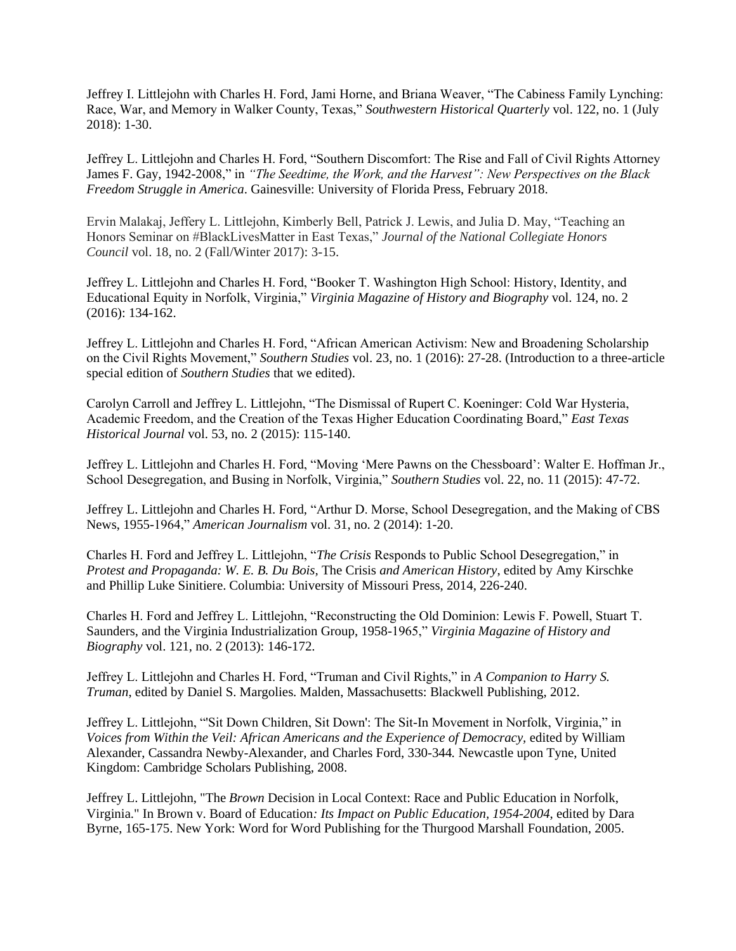Jeffrey I. Littlejohn with Charles H. Ford, Jami Horne, and Briana Weaver, "The Cabiness Family Lynching: Race, War, and Memory in Walker County, Texas," *Southwestern Historical Quarterly* vol. 122, no. 1 (July 2018): 1-30.

Jeffrey L. Littlejohn and Charles H. Ford, "Southern Discomfort: The Rise and Fall of Civil Rights Attorney James F. Gay, 1942-2008," in *"The Seedtime, the Work, and the Harvest": New Perspectives on the Black Freedom Struggle in America*. Gainesville: University of Florida Press, February 2018.

Ervin Malakaj, Jeffery L. Littlejohn, Kimberly Bell, Patrick J. Lewis, and Julia D. May, "Teaching an Honors Seminar on #BlackLivesMatter in East Texas," *Journal of the National Collegiate Honors Council* vol. 18, no. 2 (Fall/Winter 2017): 3-15.

Jeffrey L. Littlejohn and Charles H. Ford, "Booker T. Washington High School: History, Identity, and Educational Equity in Norfolk, Virginia," *Virginia Magazine of History and Biography* vol. 124, no. 2 (2016): 134-162.

Jeffrey L. Littlejohn and Charles H. Ford, "African American Activism: New and Broadening Scholarship on the Civil Rights Movement," *Southern Studies* vol. 23, no. 1 (2016): 27-28. (Introduction to a three-article special edition of *Southern Studies* that we edited).

Carolyn Carroll and Jeffrey L. Littlejohn, "The Dismissal of Rupert C. Koeninger: Cold War Hysteria, Academic Freedom, and the Creation of the Texas Higher Education Coordinating Board," *East Texas Historical Journal* vol. 53, no. 2 (2015): 115-140.

Jeffrey L. Littlejohn and Charles H. Ford, "Moving 'Mere Pawns on the Chessboard': Walter E. Hoffman Jr., School Desegregation, and Busing in Norfolk, Virginia," *Southern Studies* vol. 22, no. 11 (2015): 47-72.

Jeffrey L. Littlejohn and Charles H. Ford, "Arthur D. Morse, School Desegregation, and the Making of CBS News, 1955-1964," *American Journalism* vol. 31, no. 2 (2014): 1-20.

Charles H. Ford and Jeffrey L. Littlejohn, "*The Crisis* Responds to Public School Desegregation," in *Protest and Propaganda: W. E. B. Du Bois,* The Crisis *and American History*, edited by Amy Kirschke and Phillip Luke Sinitiere. Columbia: University of Missouri Press, 2014, 226-240.

Charles H. Ford and Jeffrey L. Littlejohn, "Reconstructing the Old Dominion: Lewis F. Powell, Stuart T. Saunders, and the Virginia Industrialization Group, 1958-1965," *Virginia Magazine of History and Biography* vol. 121, no. 2 (2013): 146-172.

Jeffrey L. Littlejohn and Charles H. Ford, "Truman and Civil Rights," in *A Companion to Harry S. Truman*, edited by Daniel S. Margolies. Malden, Massachusetts: Blackwell Publishing, 2012.

Jeffrey L. Littlejohn, "'Sit Down Children, Sit Down': The Sit-In Movement in Norfolk, Virginia," in *Voices from Within the Veil: African Americans and the Experience of Democracy,* edited by William Alexander, Cassandra Newby-Alexander, and Charles Ford, 330-344*.* Newcastle upon Tyne, United Kingdom: Cambridge Scholars Publishing, 2008.

Jeffrey L. Littlejohn, "The *Brown* Decision in Local Context: Race and Public Education in Norfolk, Virginia." In Brown v. Board of Education*: Its Impact on Public Education, 1954-2004*, edited by Dara Byrne, 165-175. New York: Word for Word Publishing for the Thurgood Marshall Foundation, 2005.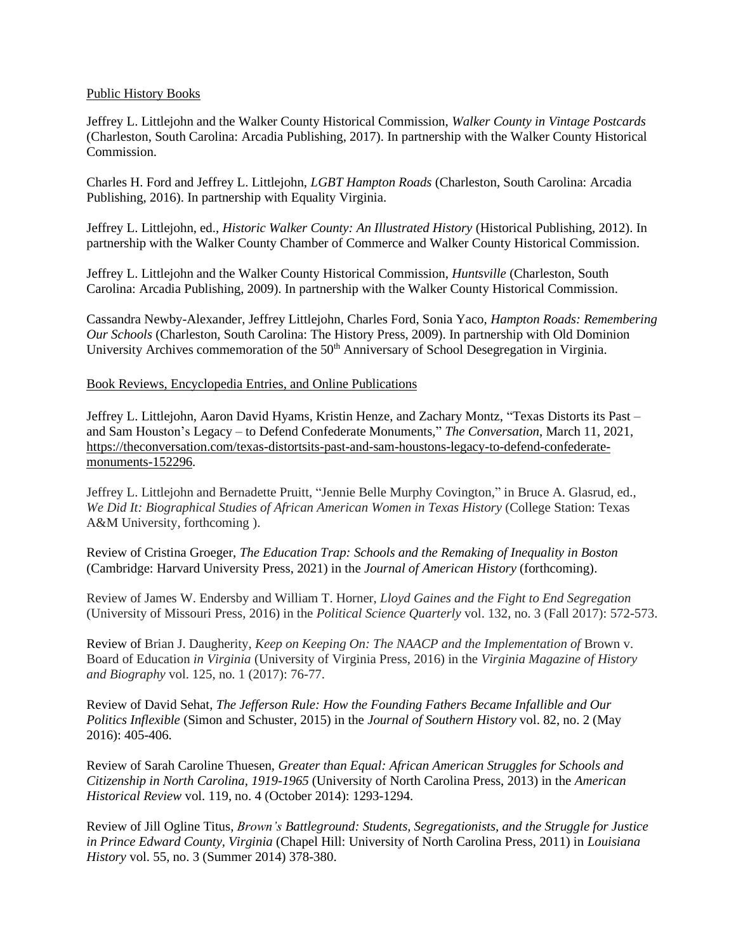### Public History Books

Jeffrey L. Littlejohn and the Walker County Historical Commission, *Walker County in Vintage Postcards*  (Charleston, South Carolina: Arcadia Publishing, 2017). In partnership with the Walker County Historical Commission.

Charles H. Ford and Jeffrey L. Littlejohn, *LGBT Hampton Roads* (Charleston, South Carolina: Arcadia Publishing, 2016). In partnership with Equality Virginia.

Jeffrey L. Littlejohn, ed., *Historic Walker County: An Illustrated History* (Historical Publishing, 2012). In partnership with the Walker County Chamber of Commerce and Walker County Historical Commission.

Jeffrey L. Littlejohn and the Walker County Historical Commission, *Huntsville* (Charleston, South Carolina: Arcadia Publishing, 2009). In partnership with the Walker County Historical Commission.

Cassandra Newby-Alexander, Jeffrey Littlejohn, Charles Ford, Sonia Yaco, *Hampton Roads: Remembering Our Schools* (Charleston, South Carolina: The History Press, 2009). In partnership with Old Dominion University Archives commemoration of the 50<sup>th</sup> Anniversary of School Desegregation in Virginia.

## Book Reviews, Encyclopedia Entries, and Online Publications

Jeffrey L. Littlejohn, Aaron David Hyams, Kristin Henze, and Zachary Montz, "Texas Distorts its Past – and Sam Houston's Legacy – to Defend Confederate Monuments," *The Conversation*, March 11, 2021, [https://theconversation.com/texas-distortsits-past-and-sam-houstons-legacy-to-defend-confederate](https://theconversation.com/texas-distortsits-past-and-sam-houstons-legacy-to-defend-confederate-monuments-152296)[monuments-152296.](https://theconversation.com/texas-distortsits-past-and-sam-houstons-legacy-to-defend-confederate-monuments-152296)

Jeffrey L. Littlejohn and Bernadette Pruitt, "Jennie Belle Murphy Covington," in Bruce A. Glasrud, ed., *We Did It: Biographical Studies of African American Women in Texas History* (College Station: Texas A&M University, forthcoming ).

Review of Cristina Groeger, *The Education Trap: Schools and the Remaking of Inequality in Boston* (Cambridge: Harvard University Press, 2021) in the *Journal of American History* (forthcoming).

Review of James W. Endersby and William T. Horner, *Lloyd Gaines and the Fight to End Segregation* (University of Missouri Press, 2016) in the *Political Science Quarterly* vol. 132, no. 3 (Fall 2017): 572-573.

Review of Brian J. Daugherity, *Keep on Keeping On: The NAACP and the Implementation of* Brown v. Board of Education *in Virginia* (University of Virginia Press, 2016) in the *Virginia Magazine of History and Biography* vol. 125, no. 1 (2017): 76-77.

Review of David Sehat, *The Jefferson Rule: How the Founding Fathers Became Infallible and Our Politics Inflexible* (Simon and Schuster, 2015) in the *Journal of Southern History* vol. 82, no. 2 (May 2016): 405-406.

Review of Sarah Caroline Thuesen, *Greater than Equal: African American Struggles for Schools and Citizenship in North Carolina, 1919-1965* (University of North Carolina Press, 2013) in the *American Historical Review* vol. 119, no. 4 (October 2014): 1293-1294.

Review of Jill Ogline Titus, *Brown's Battleground: Students, Segregationists, and the Struggle for Justice in Prince Edward County, Virginia* (Chapel Hill: University of North Carolina Press, 2011) in *Louisiana History* vol. 55, no. 3 (Summer 2014) 378-380.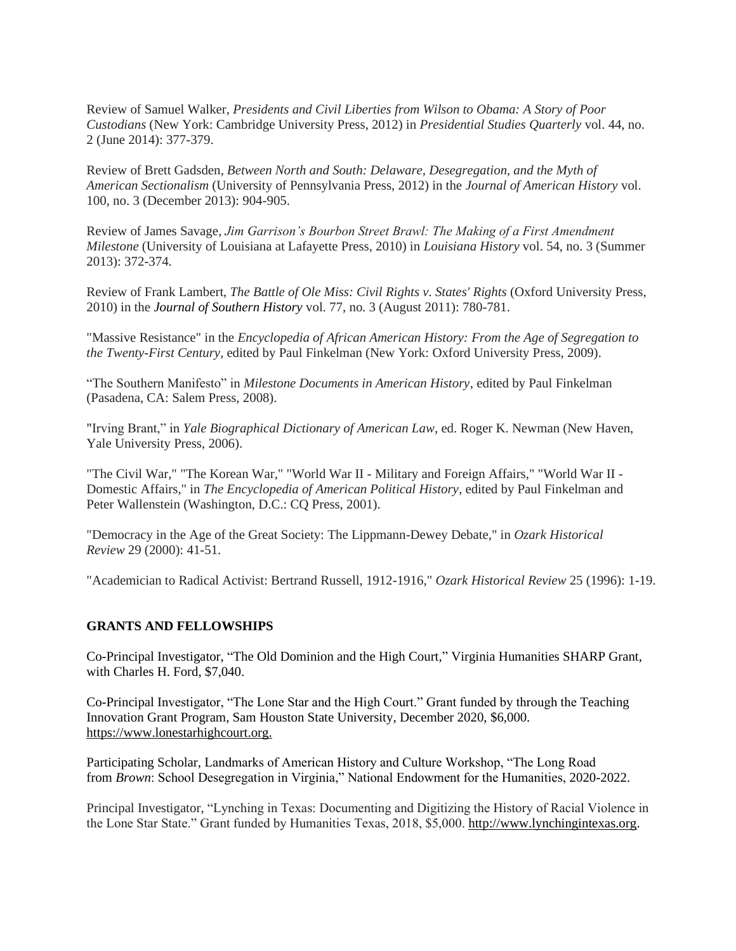Review of Samuel Walker, *Presidents and Civil Liberties from Wilson to Obama: A Story of Poor Custodians* (New York: Cambridge University Press, 2012) in *Presidential Studies Quarterly* vol. 44, no. 2 (June 2014): 377-379.

Review of Brett Gadsden*, Between North and South: Delaware, Desegregation, and the Myth of American Sectionalism* (University of Pennsylvania Press, 2012) in the *Journal of American History* vol. 100, no. 3 (December 2013): 904-905.

Review of James Savage, *Jim Garrison's Bourbon Street Brawl: The Making of a First Amendment Milestone* (University of Louisiana at Lafayette Press, 2010) in *Louisiana History* vol. 54, no. 3 (Summer 2013): 372-374.

Review of Frank Lambert, *The Battle of Ole Miss: Civil Rights v. States' Rights* (Oxford University Press, 2010) in the *Journal of Southern History* vol. 77, no. 3 (August 2011): 780-781.

"Massive Resistance" in the *Encyclopedia of African American History: From the Age of Segregation to the Twenty-First Century*, edited by Paul Finkelman (New York: Oxford University Press, 2009).

"The Southern Manifesto" in *Milestone Documents in American History*, edited by Paul Finkelman (Pasadena, CA: Salem Press, 2008).

"Irving Brant," in *Yale Biographical Dictionary of American Law*, ed. Roger K. Newman (New Haven, Yale University Press, 2006).

"The Civil War," "The Korean War," "World War II - Military and Foreign Affairs," "World War II - Domestic Affairs," in *The Encyclopedia of American Political History*, edited by Paul Finkelman and Peter Wallenstein (Washington, D.C.: CQ Press, 2001).

"Democracy in the Age of the Great Society: The Lippmann-Dewey Debate," in *Ozark Historical Review* 29 (2000): 41-51.

"Academician to Radical Activist: Bertrand Russell, 1912-1916," *Ozark Historical Review* 25 (1996): 1-19.

#### **GRANTS AND FELLOWSHIPS**

Co-Principal Investigator, "The Old Dominion and the High Court," Virginia Humanities SHARP Grant, with Charles H. Ford, \$7,040.

Co-Principal Investigator, "The Lone Star and the High Court." Grant funded by through the Teaching Innovation Grant Program, Sam Houston State University, December 2020, \$6,000. [https://www.lonestarhighcourt.org.](https://www.lonestarhighcourt.org/)

Participating Scholar, Landmarks of American History and Culture Workshop, "The Long Road from *Brown*: School Desegregation in Virginia," National Endowment for the Humanities, 2020-2022.

Principal Investigator, "Lynching in Texas: Documenting and Digitizing the History of Racial Violence in the Lone Star State." Grant funded by Humanities Texas, 2018, \$5,000[. http://www.lynchingintexas.org.](http://www.lynchingintexas.org/)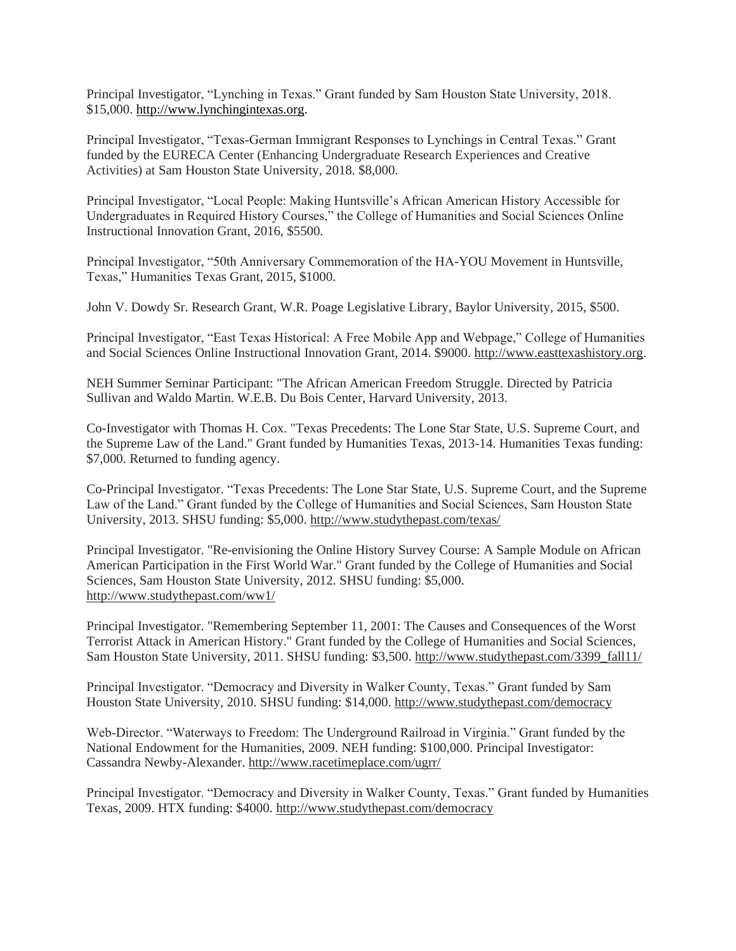Principal Investigator, "Lynching in Texas." Grant funded by Sam Houston State University, 2018. \$15,000. [http://www.lynchingintexas.org.](http://www.lynchingintexas.org/)

Principal Investigator, "Texas-German Immigrant Responses to Lynchings in Central Texas." Grant funded by the EURECA Center (Enhancing Undergraduate Research Experiences and Creative Activities) at Sam Houston State University, 2018. \$8,000.

Principal Investigator, "Local People: Making Huntsville's African American History Accessible for Undergraduates in Required History Courses," the College of Humanities and Social Sciences Online Instructional Innovation Grant, 2016, \$5500.

Principal Investigator, "50th Anniversary Commemoration of the HA-YOU Movement in Huntsville, Texas," Humanities Texas Grant, 2015, \$1000.

John V. Dowdy Sr. Research Grant, W.R. Poage Legislative Library, Baylor University, 2015, \$500.

Principal Investigator, "East Texas Historical: A Free Mobile App and Webpage," College of Humanities and Social Sciences Online Instructional Innovation Grant, 2014. \$9000. http://www.easttexashistory.org.

NEH Summer Seminar Participant: "The African American Freedom Struggle. Directed by Patricia Sullivan and Waldo Martin. W.E.B. Du Bois Center, Harvard University, 2013.

Co-Investigator with Thomas H. Cox. "Texas Precedents: The Lone Star State, U.S. Supreme Court, and the Supreme Law of the Land." Grant funded by Humanities Texas, 2013-14. Humanities Texas funding: \$7,000. Returned to funding agency.

Co-Principal Investigator. "Texas Precedents: The Lone Star State, U.S. Supreme Court, and the Supreme Law of the Land." Grant funded by the College of Humanities and Social Sciences, Sam Houston State University, 2013. SHSU funding: \$5,000. http://www.studythepast.com/texas/

Principal Investigator. "Re-envisioning the Online History Survey Course: A Sample Module on African American Participation in the First World War." Grant funded by the College of Humanities and Social Sciences, Sam Houston State University, 2012. SHSU funding: \$5,000. http://www.studythepast.com/ww1/

Principal Investigator. "Remembering September 11, 2001: The Causes and Consequences of the Worst Terrorist Attack in American History." Grant funded by the College of Humanities and Social Sciences, Sam Houston State University, 2011. SHSU funding: \$3,500. [http://www.studythepast.com/3399\\_fall11/](http://studythepast.com/3399_fall11/)

Principal Investigator. "Democracy and Diversity in Walker County, Texas." Grant funded by Sam Houston State University, 2010. SHSU funding: \$14,000.<http://www.studythepast.com/democracy>

Web-Director. "Waterways to Freedom: The Underground Railroad in Virginia." Grant funded by the National Endowment for the Humanities, 2009. NEH funding: \$100,000. Principal Investigator: Cassandra Newby-Alexander[. http://www.racetimeplace.com/ugrr/](http://www.racetimeplace.com/ugrr/)

Principal Investigator. "Democracy and Diversity in Walker County, Texas." Grant funded by Humanities Texas, 2009. HTX funding: \$4000[. http://www.studythepast.com/democracy](http://www.studythepast.com/democracy)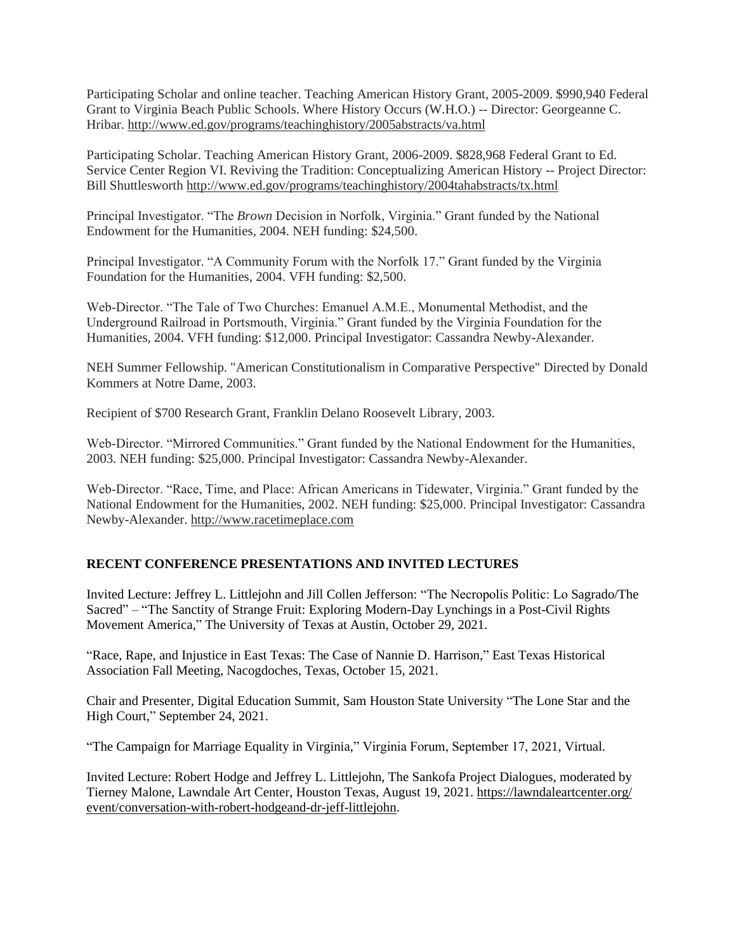Participating Scholar and online teacher. Teaching American History Grant, 2005-2009. \$990,940 Federal Grant to Virginia Beach Public Schools. Where History Occurs (W.H.O.) -- Director: Georgeanne C. Hribar.<http://www.ed.gov/programs/teachinghistory/2005abstracts/va.html>

Participating Scholar. Teaching American History Grant, 2006-2009. \$828,968 Federal Grant to Ed. Service Center Region VI. Reviving the Tradition: Conceptualizing American History -- Project Director: Bill Shuttlesworth<http://www.ed.gov/programs/teachinghistory/2004tahabstracts/tx.html>

Principal Investigator. "The *Brown* Decision in Norfolk, Virginia." Grant funded by the National Endowment for the Humanities, 2004. NEH funding: \$24,500.

Principal Investigator. "A Community Forum with the Norfolk 17." Grant funded by the Virginia Foundation for the Humanities, 2004. VFH funding: \$2,500.

Web-Director. "The Tale of Two Churches: Emanuel A.M.E., Monumental Methodist, and the Underground Railroad in Portsmouth, Virginia." Grant funded by the Virginia Foundation for the Humanities, 2004. VFH funding: \$12,000. Principal Investigator: Cassandra Newby-Alexander.

NEH Summer Fellowship. "American Constitutionalism in Comparative Perspective" Directed by Donald Kommers at Notre Dame, 2003.

Recipient of \$700 Research Grant, Franklin Delano Roosevelt Library, 2003.

Web-Director. "Mirrored Communities." Grant funded by the National Endowment for the Humanities, 2003. NEH funding: \$25,000. Principal Investigator: Cassandra Newby-Alexander.

Web-Director. "Race, Time, and Place: African Americans in Tidewater, Virginia." Grant funded by the National Endowment for the Humanities, 2002. NEH funding: \$25,000. Principal Investigator: Cassandra Newby-Alexander[. http://www.racetimeplace.com](http://www.racetimeplace.com/)

## **RECENT CONFERENCE PRESENTATIONS AND INVITED LECTURES**

Invited Lecture: Jeffrey L. Littlejohn and Jill Collen Jefferson: "The Necropolis Politic: Lo Sagrado/The Sacred" – "The Sanctity of Strange Fruit: Exploring Modern-Day Lynchings in a Post-Civil Rights Movement America," The University of Texas at Austin, October 29, 2021.

"Race, Rape, and Injustice in East Texas: The Case of Nannie D. Harrison," East Texas Historical Association Fall Meeting, Nacogdoches, Texas, October 15, 2021.

Chair and Presenter, Digital Education Summit, Sam Houston State University "The Lone Star and the High Court," September 24, 2021.

"The Campaign for Marriage Equality in Virginia," Virginia Forum, September 17, 2021, Virtual.

Invited Lecture: Robert Hodge and Jeffrey L. Littlejohn, The Sankofa Project Dialogues, moderated by Tierney Malone, Lawndale Art Center, Houston Texas, August 19, 2021. [https://lawndaleartcenter.org/](https://lawndaleartcenter.org/‌event/‌‌‌‌‌‌‌‌‌‌‌‌conversation-with-robert-hodgeand-dr-jeff-littlejohn) [event/conversation-with-robert-hodgeand-dr-jeff-littlejohn.](https://lawndaleartcenter.org/‌event/‌‌‌‌‌‌‌‌‌‌‌‌conversation-with-robert-hodgeand-dr-jeff-littlejohn)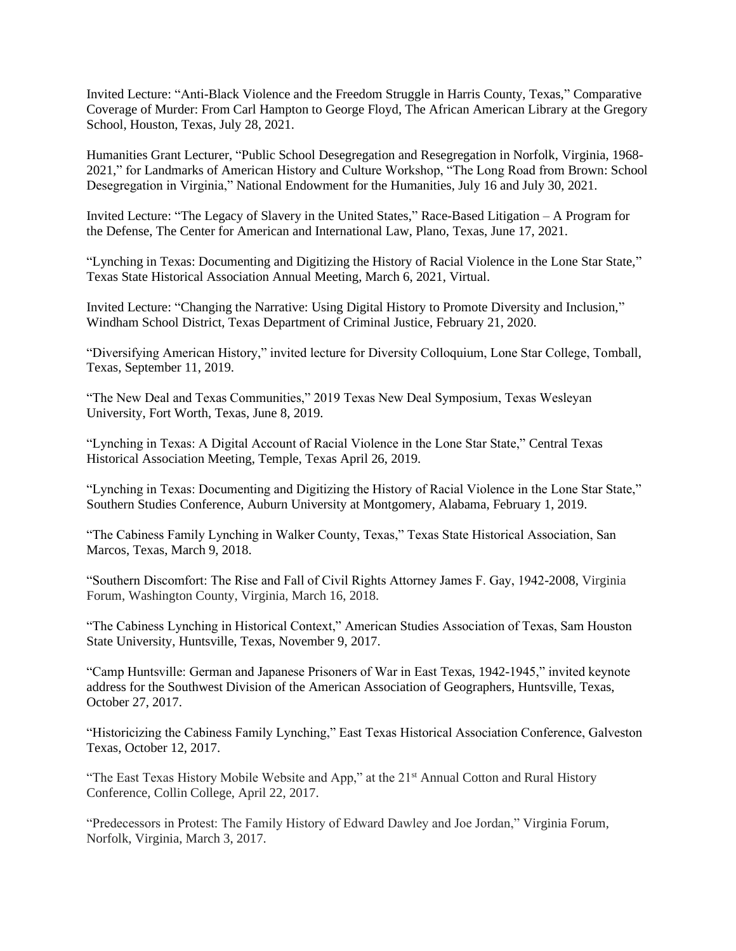Invited Lecture: "Anti-Black Violence and the Freedom Struggle in Harris County, Texas," Comparative Coverage of Murder: From Carl Hampton to George Floyd, The African American Library at the Gregory School, Houston, Texas, July 28, 2021.

Humanities Grant Lecturer, "Public School Desegregation and Resegregation in Norfolk, Virginia, 1968- 2021," for Landmarks of American History and Culture Workshop, "The Long Road from Brown: School Desegregation in Virginia," National Endowment for the Humanities, July 16 and July 30, 2021.

Invited Lecture: "The Legacy of Slavery in the United States," Race-Based Litigation – A Program for the Defense, The Center for American and International Law, Plano, Texas, June 17, 2021.

"Lynching in Texas: Documenting and Digitizing the History of Racial Violence in the Lone Star State," Texas State Historical Association Annual Meeting, March 6, 2021, Virtual.

Invited Lecture: "Changing the Narrative: Using Digital History to Promote Diversity and Inclusion," Windham School District, Texas Department of Criminal Justice, February 21, 2020.

"Diversifying American History," invited lecture for Diversity Colloquium, Lone Star College, Tomball, Texas, September 11, 2019.

"The New Deal and Texas Communities," 2019 Texas New Deal Symposium, Texas Wesleyan University, Fort Worth, Texas, June 8, 2019.

"Lynching in Texas: A Digital Account of Racial Violence in the Lone Star State," Central Texas Historical Association Meeting, Temple, Texas April 26, 2019.

"Lynching in Texas: Documenting and Digitizing the History of Racial Violence in the Lone Star State," Southern Studies Conference, Auburn University at Montgomery, Alabama, February 1, 2019.

"The Cabiness Family Lynching in Walker County, Texas," Texas State Historical Association, San Marcos, Texas, March 9, 2018.

"Southern Discomfort: The Rise and Fall of Civil Rights Attorney James F. Gay, 1942-2008, Virginia Forum, Washington County, Virginia, March 16, 2018.

"The Cabiness Lynching in Historical Context," American Studies Association of Texas, Sam Houston State University, Huntsville, Texas, November 9, 2017.

"Camp Huntsville: German and Japanese Prisoners of War in East Texas, 1942-1945," invited keynote address for the Southwest Division of the American Association of Geographers, Huntsville, Texas, October 27, 2017.

"Historicizing the Cabiness Family Lynching," East Texas Historical Association Conference, Galveston Texas, October 12, 2017.

"The East Texas History Mobile Website and App," at the 21<sup>st</sup> Annual Cotton and Rural History Conference, Collin College, April 22, 2017.

"Predecessors in Protest: The Family History of Edward Dawley and Joe Jordan," Virginia Forum, Norfolk, Virginia, March 3, 2017.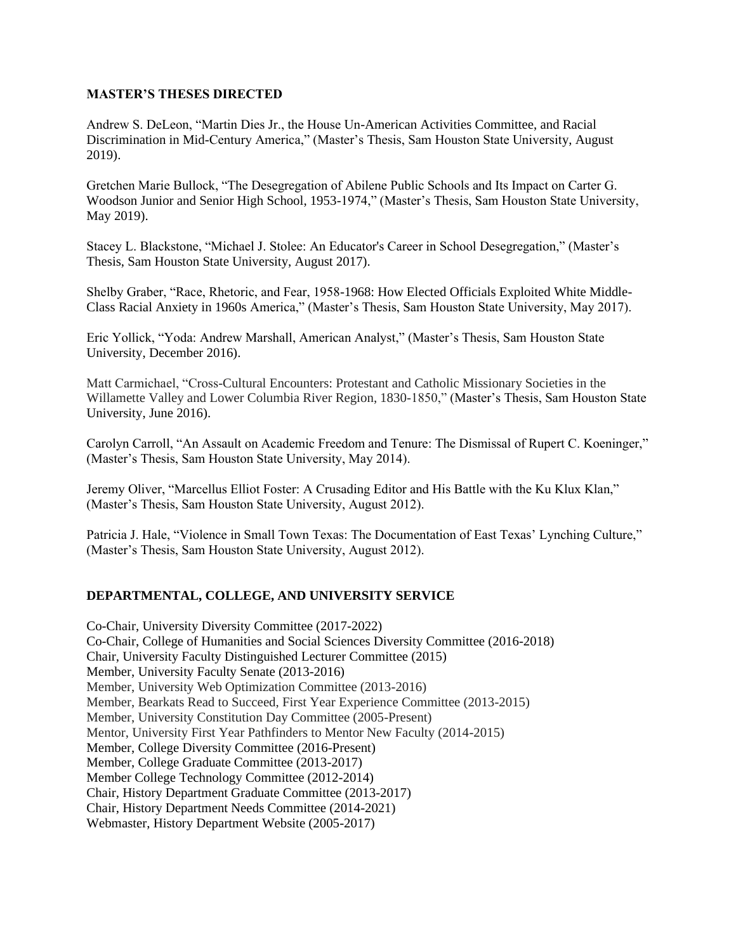## **MASTER'S THESES DIRECTED**

Andrew S. DeLeon, "Martin Dies Jr., the House Un-American Activities Committee, and Racial Discrimination in Mid-Century America," (Master's Thesis, Sam Houston State University, August 2019).

Gretchen Marie Bullock, "The Desegregation of Abilene Public Schools and Its Impact on Carter G. Woodson Junior and Senior High School, 1953-1974," (Master's Thesis, Sam Houston State University, May 2019).

Stacey L. Blackstone, "Michael J. Stolee: An Educator's Career in School Desegregation," (Master's Thesis, Sam Houston State University, August 2017).

Shelby Graber, "Race, Rhetoric, and Fear, 1958-1968: How Elected Officials Exploited White Middle-Class Racial Anxiety in 1960s America," (Master's Thesis, Sam Houston State University, May 2017).

Eric Yollick, "Yoda: Andrew Marshall, American Analyst," (Master's Thesis, Sam Houston State University, December 2016).

Matt Carmichael, "Cross-Cultural Encounters: Protestant and Catholic Missionary Societies in the Willamette Valley and Lower Columbia River Region, 1830-1850," (Master's Thesis, Sam Houston State University, June 2016).

Carolyn Carroll, "An Assault on Academic Freedom and Tenure: The Dismissal of Rupert C. Koeninger," (Master's Thesis, Sam Houston State University, May 2014).

Jeremy Oliver, "Marcellus Elliot Foster: A Crusading Editor and His Battle with the Ku Klux Klan," (Master's Thesis, Sam Houston State University, August 2012).

Patricia J. Hale, "Violence in Small Town Texas: The Documentation of East Texas' Lynching Culture," (Master's Thesis, Sam Houston State University, August 2012).

## **DEPARTMENTAL, COLLEGE, AND UNIVERSITY SERVICE**

Co-Chair, University Diversity Committee (2017-2022) Co-Chair, College of Humanities and Social Sciences Diversity Committee (2016-2018) Chair, University Faculty Distinguished Lecturer Committee (2015) Member, University Faculty Senate (2013-2016) Member, University Web Optimization Committee (2013-2016) Member, Bearkats Read to Succeed, First Year Experience Committee (2013-2015) Member, University Constitution Day Committee (2005-Present) Mentor, University First Year Pathfinders to Mentor New Faculty (2014-2015) Member, College Diversity Committee (2016-Present) Member, College Graduate Committee (2013-2017) Member College Technology Committee (2012-2014) Chair, History Department Graduate Committee (2013-2017) Chair, History Department Needs Committee (2014-2021) Webmaster, History Department Website (2005-2017)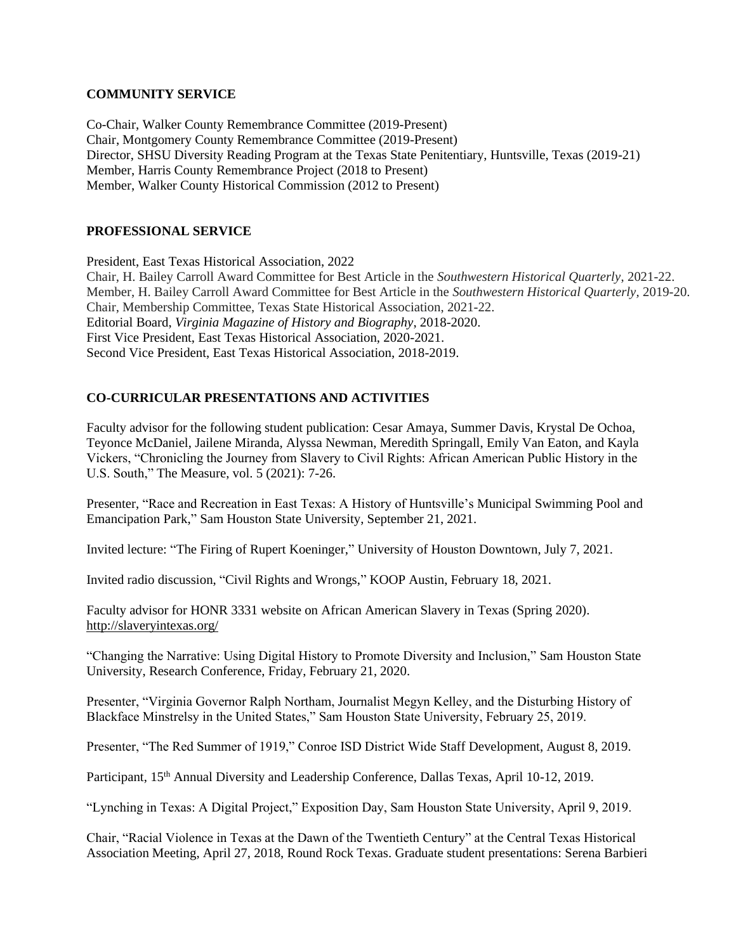## **COMMUNITY SERVICE**

Co-Chair, Walker County Remembrance Committee (2019-Present) Chair, Montgomery County Remembrance Committee (2019-Present) Director, SHSU Diversity Reading Program at the Texas State Penitentiary, Huntsville, Texas (2019-21) Member, Harris County Remembrance Project (2018 to Present) Member, Walker County Historical Commission (2012 to Present)

## **PROFESSIONAL SERVICE**

President, East Texas Historical Association, 2022 Chair, H. Bailey Carroll Award Committee for Best Article in the *Southwestern Historical Quarterly*, 2021-22. Member, H. Bailey Carroll Award Committee for Best Article in the *Southwestern Historical Quarterly,* 2019-20. Chair, Membership Committee, Texas State Historical Association, 2021-22. Editorial Board, *Virginia Magazine of History and Biography*, 2018-2020. First Vice President, East Texas Historical Association, 2020-2021. Second Vice President, East Texas Historical Association, 2018-2019.

# **CO-CURRICULAR PRESENTATIONS AND ACTIVITIES**

Faculty advisor for the following student publication: Cesar Amaya, Summer Davis, Krystal De Ochoa, Teyonce McDaniel, Jailene Miranda, Alyssa Newman, Meredith Springall, Emily Van Eaton, and Kayla Vickers, "Chronicling the Journey from Slavery to Civil Rights: African American Public History in the U.S. South," The Measure, vol. 5 (2021): 7-26.

Presenter, "Race and Recreation in East Texas: A History of Huntsville's Municipal Swimming Pool and Emancipation Park," Sam Houston State University, September 21, 2021.

Invited lecture: "The Firing of Rupert Koeninger," University of Houston Downtown, July 7, 2021.

Invited radio discussion, "Civil Rights and Wrongs," KOOP Austin, February 18, 2021.

Faculty advisor for HONR 3331 website on African American Slavery in Texas (Spring 2020). <http://slaveryintexas.org/>

"Changing the Narrative: Using Digital History to Promote Diversity and Inclusion," Sam Houston State University, Research Conference, Friday, February 21, 2020.

Presenter, "Virginia Governor Ralph Northam, Journalist Megyn Kelley, and the Disturbing History of Blackface Minstrelsy in the United States," Sam Houston State University, February 25, 2019.

Presenter, "The Red Summer of 1919," Conroe ISD District Wide Staff Development, August 8, 2019.

Participant, 15<sup>th</sup> Annual Diversity and Leadership Conference, Dallas Texas, April 10-12, 2019.

"Lynching in Texas: A Digital Project," Exposition Day, Sam Houston State University, April 9, 2019.

Chair, "Racial Violence in Texas at the Dawn of the Twentieth Century" at the Central Texas Historical Association Meeting, April 27, 2018, Round Rock Texas. Graduate student presentations: Serena Barbieri